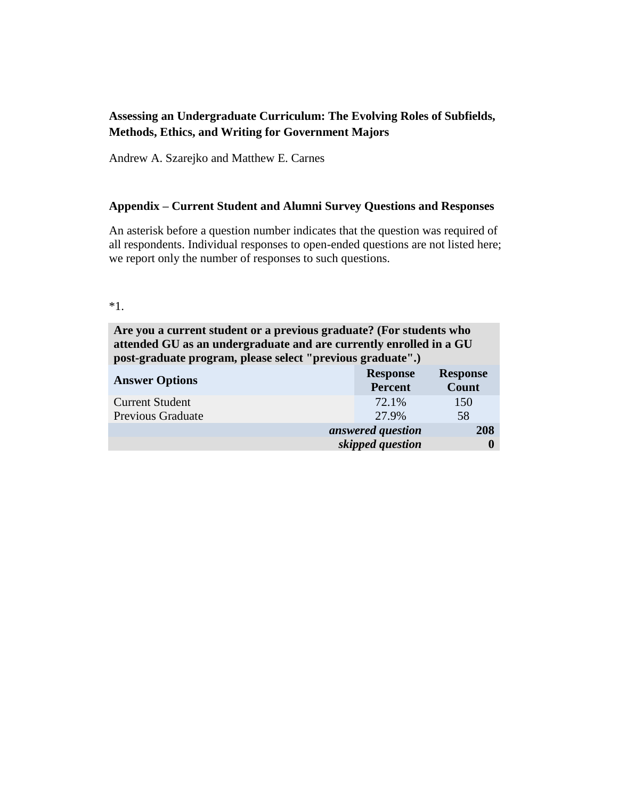# **Assessing an Undergraduate Curriculum: The Evolving Roles of Subfields, Methods, Ethics, and Writing for Government Majors**

Andrew A. Szarejko and Matthew E. Carnes

#### **Appendix – Current Student and Alumni Survey Questions and Responses**

An asterisk before a question number indicates that the question was required of all respondents. Individual responses to open-ended questions are not listed here; we report only the number of responses to such questions.

**Are you a current student or a previous graduate? (For students who attended GU as an undergraduate and are currently enrolled in a GU post-graduate program, please select "previous graduate".)**

| <b>Answer Options</b>    | <b>Response</b><br><b>Percent</b> | <b>Response</b><br>Count |
|--------------------------|-----------------------------------|--------------------------|
| <b>Current Student</b>   | 72.1%                             | 150                      |
| <b>Previous Graduate</b> | 27.9%                             | 58                       |
|                          | answered question                 | 208                      |
|                          | skipped question                  |                          |

<sup>\*1.</sup>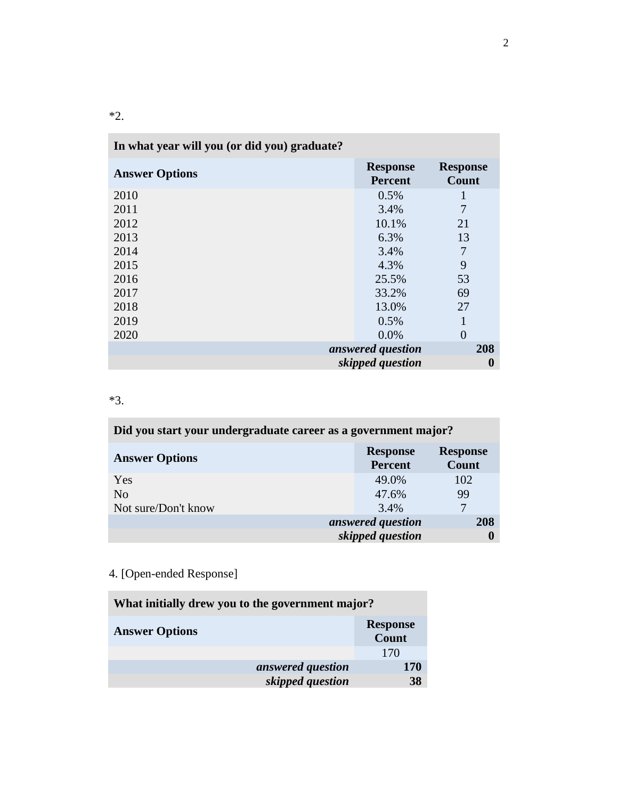|  | $\sim$ |
|--|--------|

| In what year will you (or did you) graduate? |                                   |                          |
|----------------------------------------------|-----------------------------------|--------------------------|
| <b>Answer Options</b>                        | <b>Response</b><br><b>Percent</b> | <b>Response</b><br>Count |
| 2010                                         | 0.5%                              |                          |
| 2011                                         | 3.4%                              | 7                        |
| 2012                                         | 10.1%                             | 21                       |
| 2013                                         | 6.3%                              | 13                       |
| 2014                                         | 3.4%                              | 7                        |
| 2015                                         | 4.3%                              | 9                        |
| 2016                                         | 25.5%                             | 53                       |
| 2017                                         | 33.2%                             | 69                       |
| 2018                                         | 13.0%                             | 27                       |
| 2019                                         | 0.5%                              | 1                        |
| 2020                                         | 0.0%                              | $\overline{0}$           |
|                                              | answered question                 | 208                      |
|                                              | skipped question                  | $\bf{0}$                 |

# \*3.

| Did you start your undergraduate career as a government major? |                                   |                          |
|----------------------------------------------------------------|-----------------------------------|--------------------------|
| <b>Answer Options</b>                                          | <b>Response</b><br><b>Percent</b> | <b>Response</b><br>Count |
| Yes                                                            | 49.0%                             | 102                      |
| N <sub>0</sub>                                                 | 47.6%                             | 99                       |
| Not sure/Don't know                                            | 3.4%                              | 7                        |
|                                                                | answered question                 | 208                      |
|                                                                | skipped question                  |                          |

# 4. [Open-ended Response]

| What initially drew you to the government major? |                          |  |
|--------------------------------------------------|--------------------------|--|
| <b>Answer Options</b>                            | <b>Response</b><br>Count |  |
|                                                  | 170                      |  |
| answered question                                | 170                      |  |
| skipped question                                 | 38                       |  |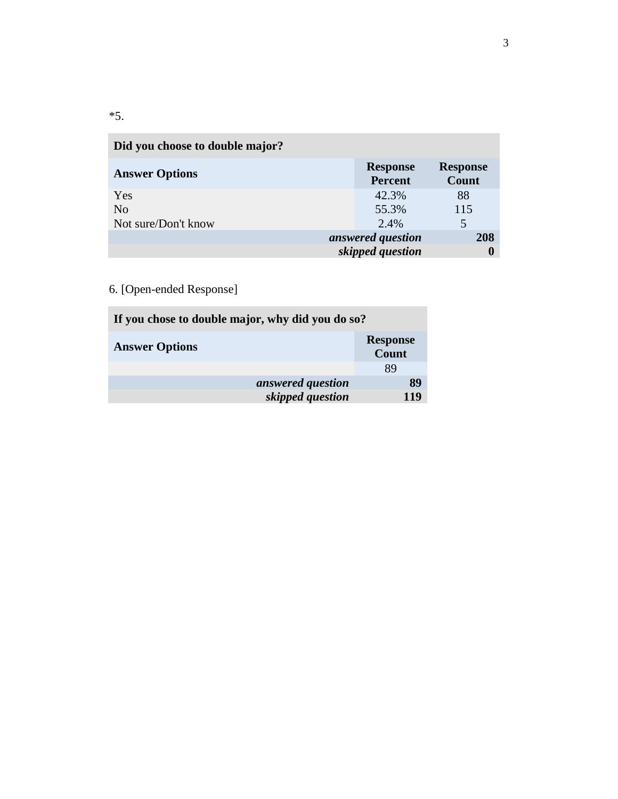| <b>SALE</b> |        |
|-------------|--------|
| ٠<br>v<br>× | $\sim$ |

| Did you choose to double major? |                                   |                          |
|---------------------------------|-----------------------------------|--------------------------|
| <b>Answer Options</b>           | <b>Response</b><br><b>Percent</b> | <b>Response</b><br>Count |
| Yes                             | 42.3%                             | 88                       |
| N <sub>0</sub>                  | 55.3%                             | 115                      |
| Not sure/Don't know             | 2.4%                              | 5                        |
|                                 | answered question                 | 208                      |
|                                 | skipped question                  | O                        |

| If you chose to double major, why did you do so? |                          |  |
|--------------------------------------------------|--------------------------|--|
| <b>Answer Options</b>                            | <b>Response</b><br>Count |  |
|                                                  | 89                       |  |
| answered question                                | 89                       |  |
| skipped question                                 | 119                      |  |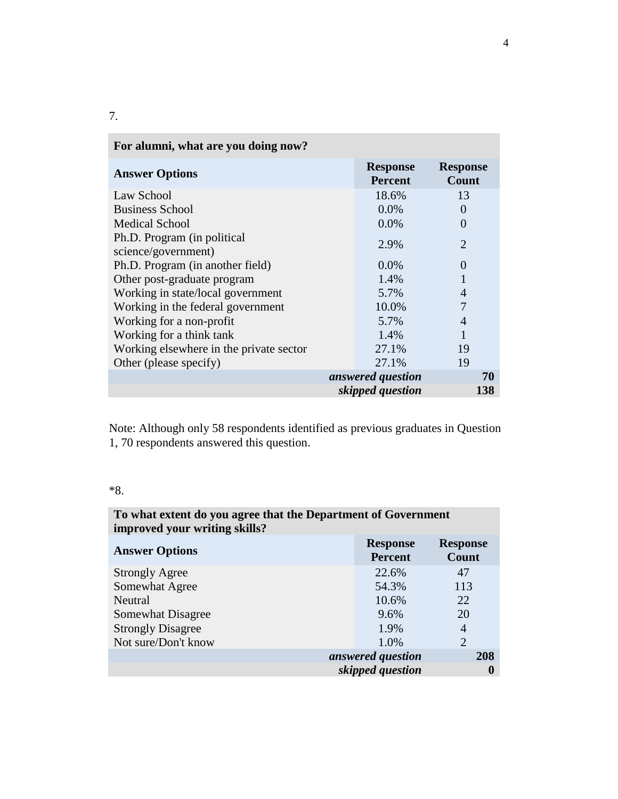| For alumni, what are you doing now?                |                                   |                          |
|----------------------------------------------------|-----------------------------------|--------------------------|
| <b>Answer Options</b>                              | <b>Response</b><br><b>Percent</b> | <b>Response</b><br>Count |
| Law School                                         | 18.6%                             | 13                       |
| <b>Business School</b>                             | $0.0\%$                           | 0                        |
| <b>Medical School</b>                              | $0.0\%$                           | $\Omega$                 |
| Ph.D. Program (in political<br>science/government) | 2.9%                              | $\mathfrak{D}$           |
| Ph.D. Program (in another field)                   | $0.0\%$                           | 0                        |
| Other post-graduate program                        | 1.4%                              |                          |
| Working in state/local government                  | 5.7%                              | 4                        |
| Working in the federal government                  | 10.0%                             | 7                        |
| Working for a non-profit                           | 5.7%                              |                          |
| Working for a think tank                           | 1.4%                              |                          |
| Working elsewhere in the private sector            | 27.1%                             | 19                       |
| Other (please specify)                             | 27.1%                             | 19                       |
|                                                    | answered question                 | 70                       |
|                                                    | skipped question                  | 138                      |

Note: Although only 58 respondents identified as previous graduates in Question 1, 70 respondents answered this question.

# \*8.

| To what extent do you agree that the Department of Government<br>improved your writing skills? |                                   |                          |
|------------------------------------------------------------------------------------------------|-----------------------------------|--------------------------|
| <b>Answer Options</b>                                                                          | <b>Response</b><br><b>Percent</b> | <b>Response</b><br>Count |
| <b>Strongly Agree</b>                                                                          | 22.6%                             | 47                       |
| Somewhat Agree                                                                                 | 54.3%                             | 113                      |
| Neutral                                                                                        | 10.6%                             | 22                       |
| Somewhat Disagree                                                                              | 9.6%                              | 20                       |
| <b>Strongly Disagree</b>                                                                       | 1.9%                              | 4                        |
| Not sure/Don't know                                                                            | 1.0%                              | $\overline{2}$           |
|                                                                                                | answered question                 | 208                      |
|                                                                                                | skipped question                  | 0                        |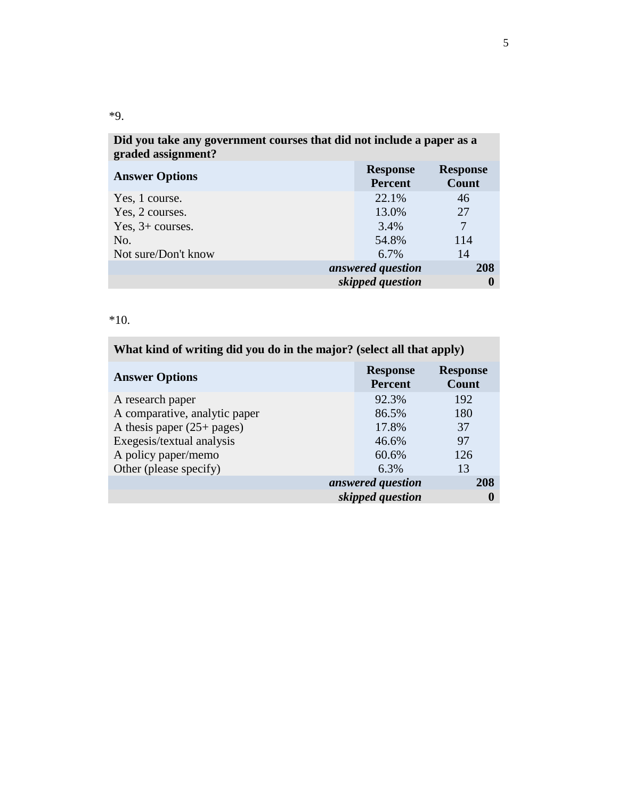| Did you take any government courses that did not include a paper as a<br>graded assignment? |                                   |                          |
|---------------------------------------------------------------------------------------------|-----------------------------------|--------------------------|
| <b>Answer Options</b>                                                                       | <b>Response</b><br><b>Percent</b> | <b>Response</b><br>Count |
| Yes, 1 course.                                                                              | 22.1%                             | 46                       |
| Yes, 2 courses.                                                                             | 13.0%                             | 27                       |
| Yes, $3+$ courses.                                                                          | 3.4%                              | $\overline{7}$           |
| No.                                                                                         | 54.8%                             | 114                      |
| Not sure/Don't know                                                                         | 6.7%                              | 14                       |
|                                                                                             | answered question                 | 208                      |
|                                                                                             | skipped question                  |                          |

\*10.

| What kind of writing did you do in the major? (select all that apply) |                                   |                          |
|-----------------------------------------------------------------------|-----------------------------------|--------------------------|
| <b>Answer Options</b>                                                 | <b>Response</b><br><b>Percent</b> | <b>Response</b><br>Count |
| A research paper                                                      | 92.3%                             | 192                      |
| A comparative, analytic paper                                         | 86.5%                             | 180                      |
| A thesis paper $(25 + pages)$                                         | 17.8%                             | 37                       |
| Exegesis/textual analysis                                             | 46.6%                             | 97                       |
| A policy paper/memo                                                   | 60.6%                             | 126                      |
| Other (please specify)                                                | 6.3%                              | 13                       |
|                                                                       | answered question                 | 208                      |
|                                                                       | skipped question                  | $\bf{0}$                 |

\*9.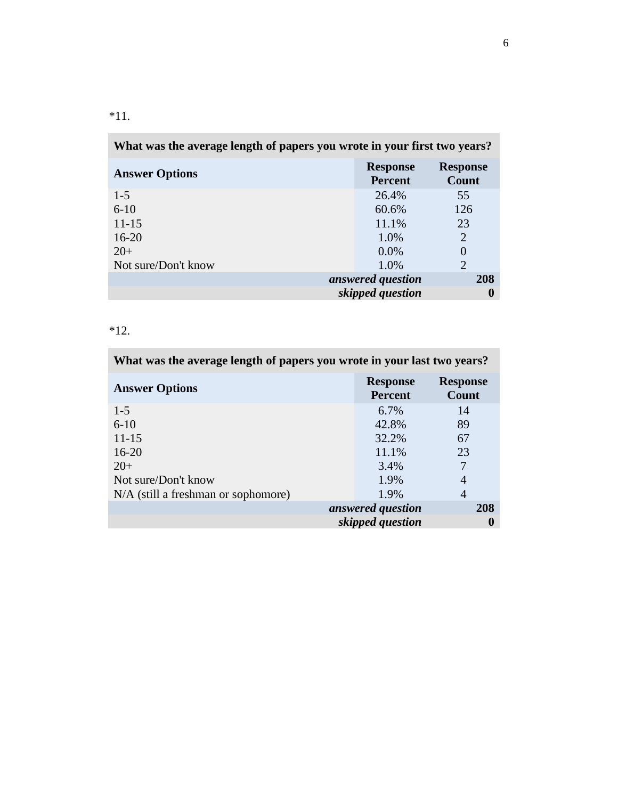|  | $\sim$ |
|--|--------|

| What was the average length of papers you wrote in your first two years? |                                   |                          |
|--------------------------------------------------------------------------|-----------------------------------|--------------------------|
| <b>Answer Options</b>                                                    | <b>Response</b><br><b>Percent</b> | <b>Response</b><br>Count |
| $1 - 5$                                                                  | 26.4%                             | 55                       |
| $6 - 10$                                                                 | 60.6%                             | 126                      |
| $11 - 15$                                                                | 11.1%                             | 23                       |
| $16 - 20$                                                                | 1.0%                              | $\overline{2}$           |
| $20+$                                                                    | 0.0%                              | $\theta$                 |
| Not sure/Don't know                                                      | 1.0%                              | $\overline{2}$           |
|                                                                          | answered question                 | 208                      |
|                                                                          | skipped question                  |                          |

\*12.

| What was the average length of papers you wrote in your last two years? |                                   |                          |
|-------------------------------------------------------------------------|-----------------------------------|--------------------------|
| <b>Answer Options</b>                                                   | <b>Response</b><br><b>Percent</b> | <b>Response</b><br>Count |
| $1 - 5$                                                                 | 6.7%                              | 14                       |
| $6 - 10$                                                                | 42.8%                             | 89                       |
| $11 - 15$                                                               | 32.2%                             | 67                       |
| $16 - 20$                                                               | 11.1%                             | 23                       |
| $20+$                                                                   | 3.4%                              |                          |
| Not sure/Don't know                                                     | 1.9%                              | 4                        |
| $N/A$ (still a freshman or sophomore)                                   | 1.9%                              | 4                        |
|                                                                         | answered question                 | 208                      |
|                                                                         | skipped question                  | O                        |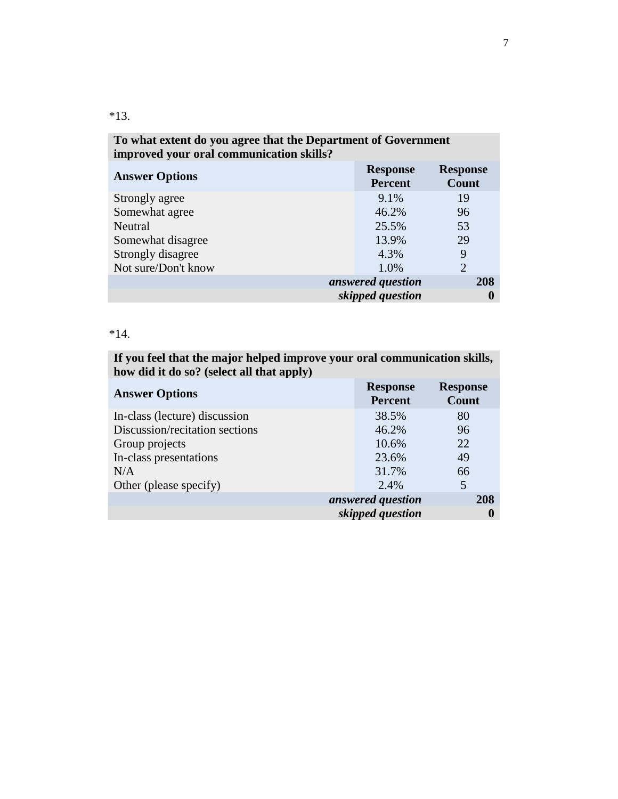| To what extent do you agree that the Department of Government     |                                   |                          |
|-------------------------------------------------------------------|-----------------------------------|--------------------------|
| improved your oral communication skills?<br><b>Answer Options</b> | <b>Response</b><br><b>Percent</b> | <b>Response</b><br>Count |
| Strongly agree                                                    | $9.1\%$                           | 19                       |
| Somewhat agree                                                    | 46.2%                             | 96                       |
| Neutral                                                           | 25.5%                             | 53                       |
| Somewhat disagree                                                 | 13.9%                             | 29                       |
| Strongly disagree                                                 | 4.3%                              | 9                        |
| Not sure/Don't know                                               | 1.0%                              | $\overline{2}$           |
|                                                                   | answered question                 | 208                      |
|                                                                   | skipped question                  |                          |

\*14.

**If you feel that the major helped improve your oral communication skills, how did it do so? (select all that apply)**

| <b>Answer Options</b>          | <b>Response</b><br><b>Percent</b> | <b>Response</b><br>Count |
|--------------------------------|-----------------------------------|--------------------------|
| In-class (lecture) discussion  | 38.5%                             | 80                       |
| Discussion/recitation sections | 46.2%                             | 96                       |
| Group projects                 | 10.6%                             | 22                       |
| In-class presentations         | 23.6%                             | 49                       |
| N/A                            | 31.7%                             | 66                       |
| Other (please specify)         | 2.4%                              | 5                        |
|                                | answered question                 | 208                      |
|                                | skipped question                  | 0                        |

\*13.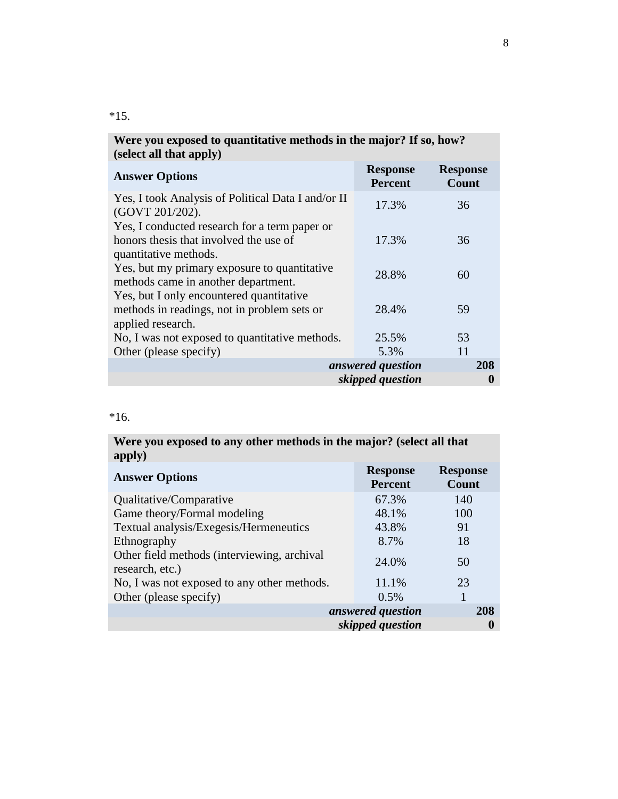| (select all that apply)                                               |                                   |                          |
|-----------------------------------------------------------------------|-----------------------------------|--------------------------|
| <b>Answer Options</b>                                                 | <b>Response</b><br><b>Percent</b> | <b>Response</b><br>Count |
| Yes, I took Analysis of Political Data I and/or II<br>(GOVT 201/202). | 17.3%                             | 36                       |
| Yes, I conducted research for a term paper or                         |                                   |                          |
| honors thesis that involved the use of                                | 17.3%                             | 36                       |
| quantitative methods.                                                 |                                   |                          |
| Yes, but my primary exposure to quantitative                          | 28.8%                             | 60                       |
| methods came in another department.                                   |                                   |                          |
| Yes, but I only encountered quantitative                              |                                   |                          |
| methods in readings, not in problem sets or                           | 28.4%                             | 59                       |
| applied research.                                                     |                                   |                          |
| No, I was not exposed to quantitative methods.                        | 25.5%                             | 53                       |
| Other (please specify)                                                | 5.3%                              | 11                       |
|                                                                       | answered question                 | 208                      |
|                                                                       | skipped question                  | 0                        |

# **Were you exposed to quantitative methods in the major? If so, how?**

#### \*16.

| Were you exposed to any other methods in the major? (select all that<br>apply) |                                   |                          |
|--------------------------------------------------------------------------------|-----------------------------------|--------------------------|
| <b>Answer Options</b>                                                          | <b>Response</b><br><b>Percent</b> | <b>Response</b><br>Count |
| Qualitative/Comparative                                                        | 67.3%                             | 140                      |
| Game theory/Formal modeling                                                    | 48.1%                             | 100                      |
| Textual analysis/Exegesis/Hermeneutics                                         | 43.8%                             | 91                       |
| Ethnography                                                                    | 8.7%                              | 18                       |
| Other field methods (interviewing, archival<br>research, etc.)                 | 24.0%                             | 50                       |
| No, I was not exposed to any other methods.                                    | 11.1%                             | 23                       |
| Other (please specify)                                                         | 0.5%                              | 1                        |
|                                                                                | answered question                 | 208                      |
|                                                                                | skipped question                  | 0                        |

#### \*15.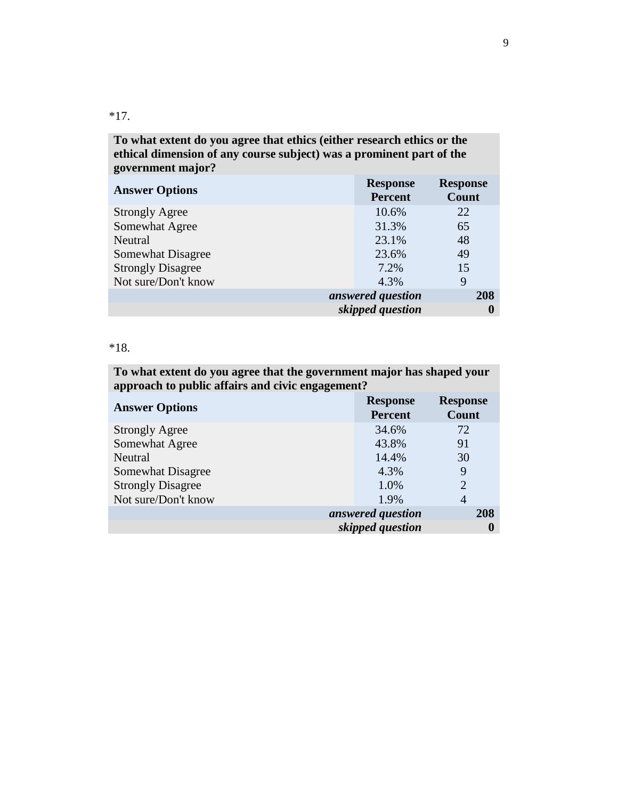\*17.

**To what extent do you agree that ethics (either research ethics or the ethical dimension of any course subject) was a prominent part of the government major?**

| <b>Answer Options</b>    | <b>Response</b><br><b>Percent</b> | <b>Response</b><br>Count |
|--------------------------|-----------------------------------|--------------------------|
| <b>Strongly Agree</b>    | 10.6%                             | 22                       |
| Somewhat Agree           | 31.3%                             | 65                       |
| Neutral                  | 23.1%                             | 48                       |
| Somewhat Disagree        | 23.6%                             | 49                       |
| <b>Strongly Disagree</b> | 7.2%                              | 15                       |
| Not sure/Don't know      | 4.3%                              | 9                        |
|                          | answered question                 | 208                      |
|                          | skipped question                  |                          |

#### \*18.

**To what extent do you agree that the government major has shaped your approach to public affairs and civic engagement? Answer Options Response Response Percent Response Count** Strongly Agree 34.6% 72 Somewhat Agree 43.8% 91 Neutral 14.4% 30 Somewhat Disagree 4.3% 9 Strongly Disagree 2 2 Not sure/Don't know 1.9% 4 *answered question* **208** *skipped question* **0**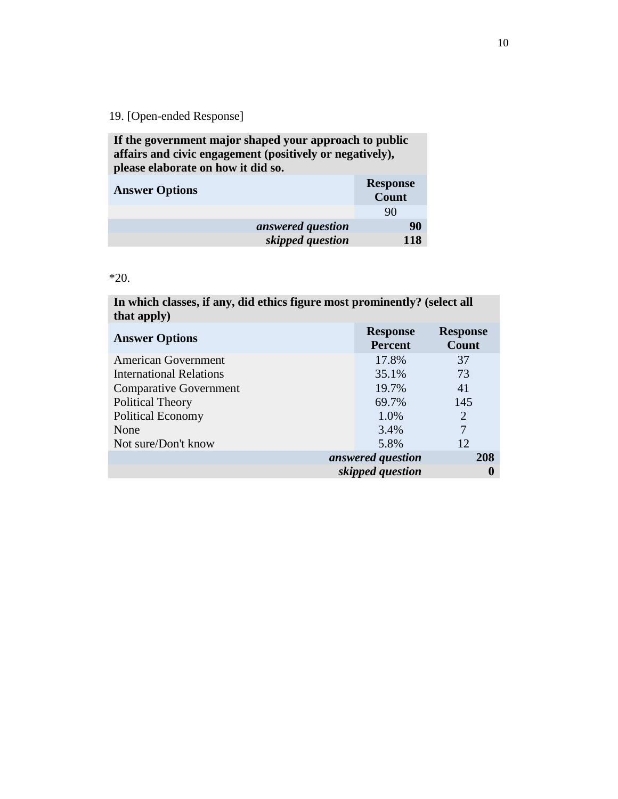**If the government major shaped your approach to public affairs and civic engagement (positively or negatively), please elaborate on how it did so.**

| <b>Answer Options</b> |                   | <b>Response</b><br>Count |
|-----------------------|-------------------|--------------------------|
|                       |                   | 90                       |
|                       | answered question | 90                       |
|                       | skipped question  | 118                      |

\*20.

**In which classes, if any, did ethics figure most prominently? (select all that apply)**

| <b>Answer Options</b>          | <b>Response</b><br><b>Percent</b> | <b>Response</b><br>Count |
|--------------------------------|-----------------------------------|--------------------------|
| <b>American Government</b>     | 17.8%                             | 37                       |
| <b>International Relations</b> | 35.1%                             | 73                       |
| <b>Comparative Government</b>  | 19.7%                             | 41                       |
| <b>Political Theory</b>        | 69.7%                             | 145                      |
| <b>Political Economy</b>       | 1.0%                              | $\overline{2}$           |
| None                           | 3.4%                              | 7                        |
| Not sure/Don't know            | 5.8%                              | 12                       |
|                                | answered question                 | 208                      |
|                                | skipped question                  |                          |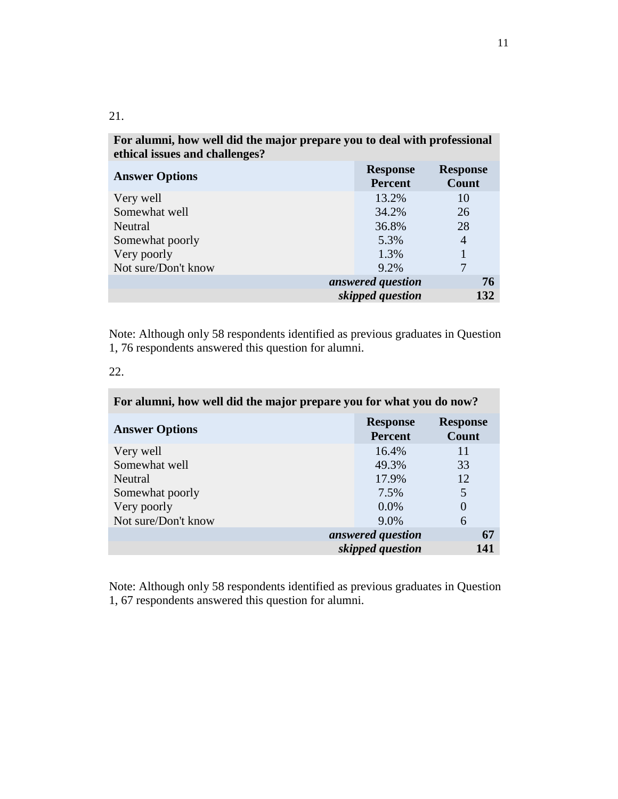| For alumni, how well did the major prepare you to deal with professional<br>ethical issues and challenges? |                                   |                          |
|------------------------------------------------------------------------------------------------------------|-----------------------------------|--------------------------|
| <b>Answer Options</b>                                                                                      | <b>Response</b><br><b>Percent</b> | <b>Response</b><br>Count |
| Very well                                                                                                  | 13.2%                             | 10                       |
| Somewhat well                                                                                              | 34.2%                             | 26                       |
| Neutral                                                                                                    | 36.8%                             | 28                       |
| Somewhat poorly                                                                                            | 5.3%                              | 4                        |
| Very poorly                                                                                                | 1.3%                              |                          |
| Not sure/Don't know                                                                                        | $9.2\%$                           |                          |
|                                                                                                            | answered question                 | 76                       |
|                                                                                                            | skipped question                  | 132                      |

Note: Although only 58 respondents identified as previous graduates in Question 1, 76 respondents answered this question for alumni.

| $\sim$ |  |
|--------|--|

| For alumni, how well did the major prepare you for what you do now? |                                   |                          |
|---------------------------------------------------------------------|-----------------------------------|--------------------------|
| <b>Answer Options</b>                                               | <b>Response</b><br><b>Percent</b> | <b>Response</b><br>Count |
| Very well                                                           | 16.4%                             | 11                       |
| Somewhat well                                                       | 49.3%                             | 33                       |
| Neutral                                                             | 17.9%                             | 12                       |
| Somewhat poorly                                                     | 7.5%                              | 5                        |
| Very poorly                                                         | 0.0%                              | $\theta$                 |
| Not sure/Don't know                                                 | 9.0%                              | 6                        |
|                                                                     | answered question                 | 67                       |
|                                                                     | skipped question                  | 141                      |

Note: Although only 58 respondents identified as previous graduates in Question 1, 67 respondents answered this question for alumni.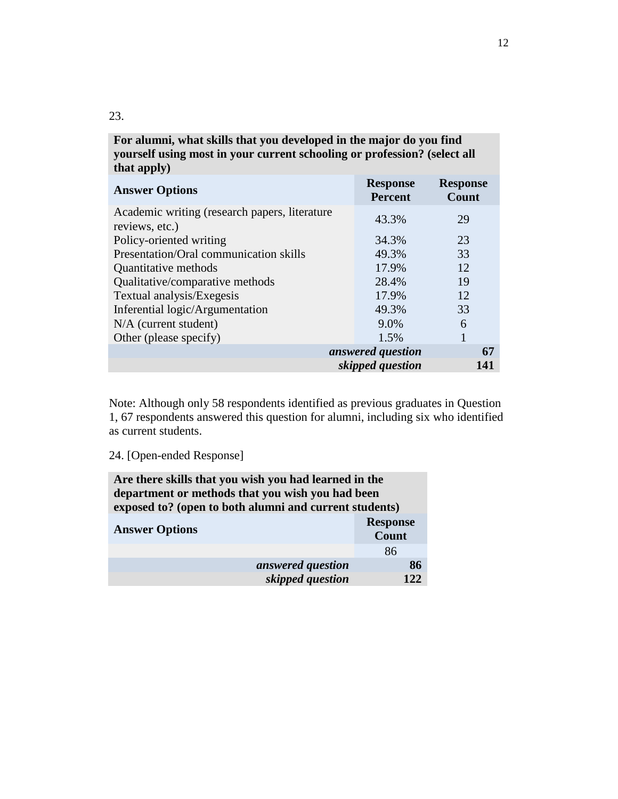| yourself using most in your current schooling or profession? (select all<br>that apply) |                                   |                          |
|-----------------------------------------------------------------------------------------|-----------------------------------|--------------------------|
| <b>Answer Options</b>                                                                   | <b>Response</b><br><b>Percent</b> | <b>Response</b><br>Count |
| Academic writing (research papers, literature<br>reviews, etc.)                         | 43.3%                             | 29                       |
| Policy-oriented writing                                                                 | 34.3%                             | 23                       |
| Presentation/Oral communication skills                                                  | 49.3%                             | 33                       |
| Quantitative methods                                                                    | 17.9%                             | 12                       |
| Qualitative/comparative methods                                                         | 28.4%                             | 19                       |
| Textual analysis/Exegesis                                                               | 17.9%                             | 12                       |
| Inferential logic/Argumentation                                                         | 49.3%                             | 33                       |
| $N/A$ (current student)                                                                 | 9.0%                              | 6                        |
| Other (please specify)                                                                  | 1.5%                              | 1                        |
|                                                                                         | answered question                 | 67                       |
|                                                                                         | skipped question                  | 141                      |

**For alumni, what skills that you developed in the major do you find** 

Note: Although only 58 respondents identified as previous graduates in Question 1, 67 respondents answered this question for alumni, including six who identified as current students.

|  | 24. [Open-ended Response] |  |
|--|---------------------------|--|
|--|---------------------------|--|

| Are there skills that you wish you had learned in the  |                 |
|--------------------------------------------------------|-----------------|
| department or methods that you wish you had been       |                 |
| exposed to? (open to both alumni and current students) |                 |
|                                                        | <b>Response</b> |
| <b>Answer Options</b>                                  | <b>Count</b>    |
|                                                        | 86              |
| answered question                                      | 86              |
| skipped question                                       | 12.2            |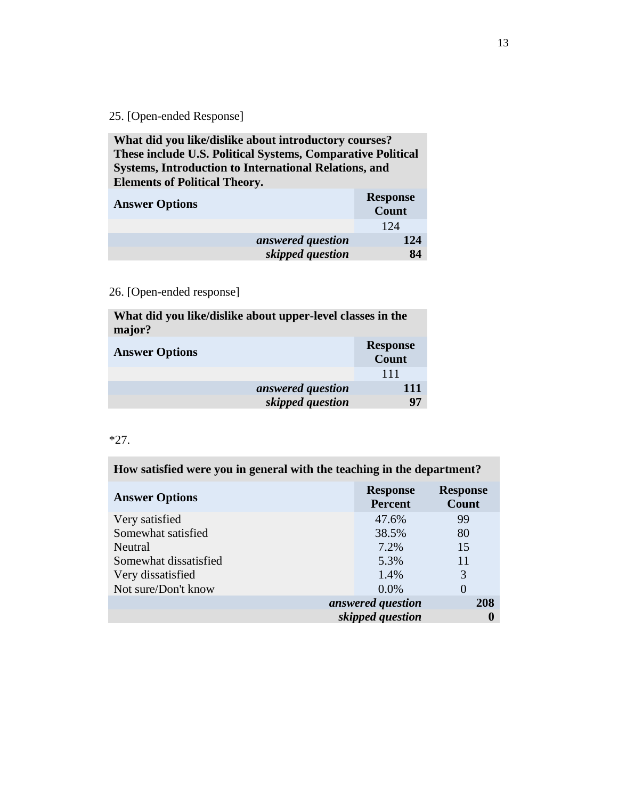**What did you like/dislike about introductory courses? These include U.S. Political Systems, Comparative Political Systems, Introduction to International Relations, and Elements of Political Theory.**

| <b>Answer Options</b> |                   | <b>Response</b><br>Count |
|-----------------------|-------------------|--------------------------|
|                       |                   | 124                      |
|                       | answered question | 124                      |
|                       | skipped question  | 84                       |
|                       |                   |                          |

# 26. [Open-ended response]

| What did you like/dislike about upper-level classes in the<br>major? |                                 |
|----------------------------------------------------------------------|---------------------------------|
| <b>Answer Options</b>                                                | <b>Response</b><br><b>Count</b> |
|                                                                      | 111                             |
| answered question                                                    | 111                             |
| skipped question                                                     | 97                              |

#### \*27.

i.

| How satisfied were you in general with the teaching in the department? |                                   |                          |
|------------------------------------------------------------------------|-----------------------------------|--------------------------|
| <b>Answer Options</b>                                                  | <b>Response</b><br><b>Percent</b> | <b>Response</b><br>Count |
| Very satisfied                                                         | 47.6%                             | 99                       |
| Somewhat satisfied                                                     | 38.5%                             | 80                       |
| Neutral                                                                | 7.2%                              | 15                       |
| Somewhat dissatisfied                                                  | 5.3%                              | 11                       |
| Very dissatisfied                                                      | 1.4%                              | 3                        |
| Not sure/Don't know                                                    | $0.0\%$                           | $\Omega$                 |
|                                                                        | answered question                 | 208                      |
|                                                                        | skipped question                  |                          |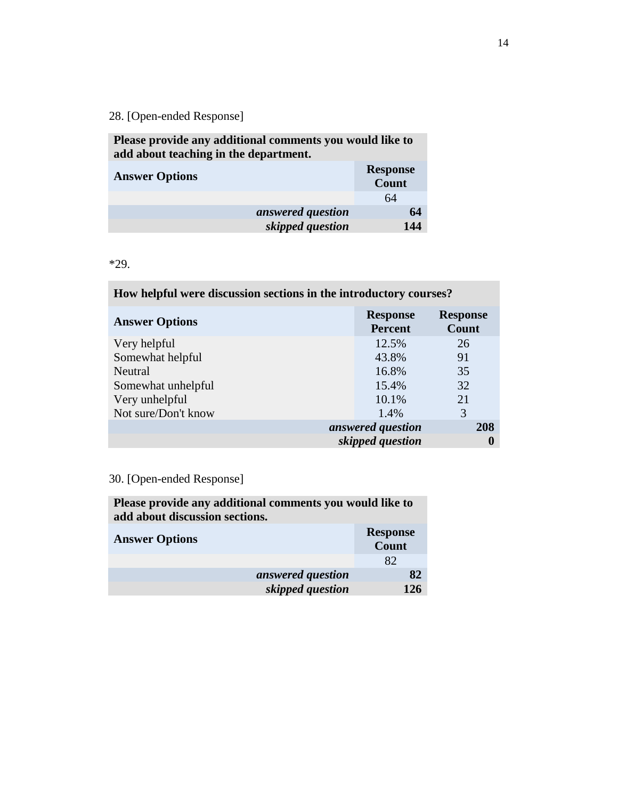**Please provide any additional comments you would like to add about teaching in the department.**

| <b>Answer Options</b> |                   | <b>Response</b><br>Count |
|-----------------------|-------------------|--------------------------|
|                       |                   | 64                       |
|                       | answered question | 64                       |
|                       | skipped question  | 144                      |

\*29.

| How helpful were discussion sections in the introductory courses? |  |  |
|-------------------------------------------------------------------|--|--|
|                                                                   |  |  |

| <b>Answer Options</b> | <b>Response</b><br><b>Percent</b> | <b>Response</b><br>Count |
|-----------------------|-----------------------------------|--------------------------|
| Very helpful          | 12.5%                             | 26                       |
| Somewhat helpful      | 43.8%                             | 91                       |
| Neutral               | 16.8%                             | 35                       |
| Somewhat unhelpful    | 15.4%                             | 32                       |
| Very unhelpful        | 10.1%                             | 21                       |
| Not sure/Don't know   | 1.4%                              | 3                        |
|                       | answered question                 | 208                      |
|                       | skipped question                  |                          |

# 30. [Open-ended Response]

**Please provide any additional comments you would like to add about discussion sections.**

| <b>Answer Options</b> | <b>Response</b><br>Count |
|-----------------------|--------------------------|
|                       | 82                       |
|                       | answered question<br>82  |
|                       | skipped question<br>126  |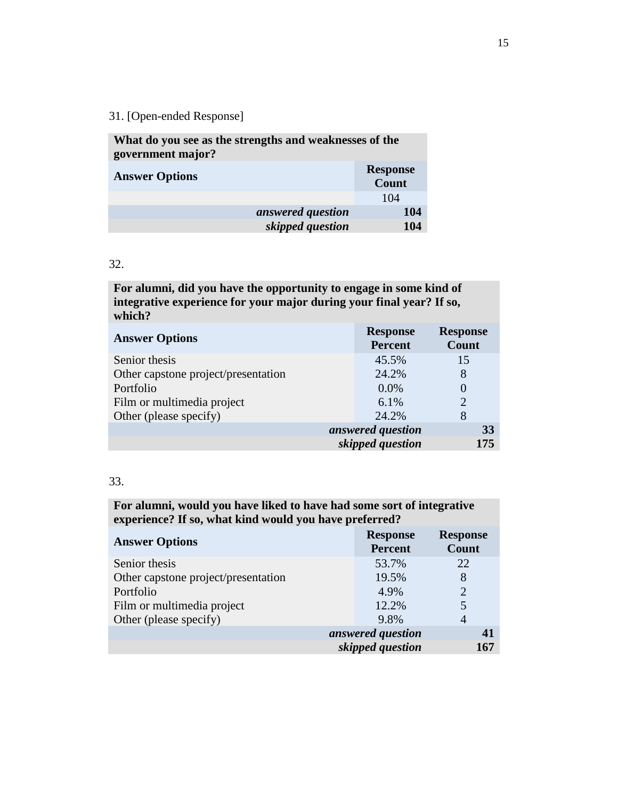| What do you see as the strengths and weaknesses of the |
|--------------------------------------------------------|
| <b>Response</b><br>Count                               |
| 104                                                    |
| 104                                                    |
| 104                                                    |
|                                                        |

#### 32.

**For alumni, did you have the opportunity to engage in some kind of integrative experience for your major during your final year? If so, which?**

| <b>Answer Options</b>               | <b>Response</b><br><b>Percent</b> | <b>Response</b><br>Count    |
|-------------------------------------|-----------------------------------|-----------------------------|
| Senior thesis                       | 45.5%                             | 15                          |
| Other capstone project/presentation | 24.2%                             | 8                           |
| Portfolio                           | $0.0\%$                           | 0                           |
| Film or multimedia project          | 6.1%                              | $\mathcal{D}_{\mathcal{A}}$ |
| Other (please specify)              | 24.2%                             | 8                           |
|                                     | answered question                 | 33                          |
|                                     | skipped question                  | 175                         |

#### 33.

# **For alumni, would you have liked to have had some sort of integrative experience? If so, what kind would you have preferred?**

| <b>Answer Options</b>               | <b>Response</b><br><b>Percent</b> | <b>Response</b><br>Count |
|-------------------------------------|-----------------------------------|--------------------------|
| Senior thesis                       | 53.7%                             | 22                       |
| Other capstone project/presentation | 19.5%                             | 8                        |
| Portfolio                           | 4.9%                              | $\overline{2}$           |
| Film or multimedia project          | 12.2%                             | 5                        |
| Other (please specify)              | 9.8%                              | 4                        |
|                                     | answered question                 |                          |
| skipped question                    |                                   | 167                      |